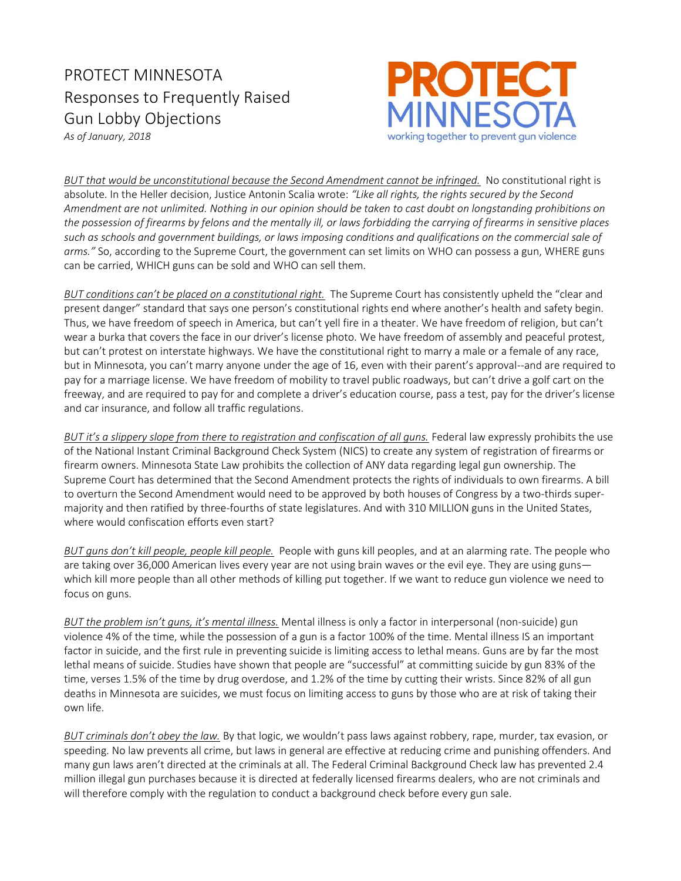## PROTECT MINNESOTA Responses to Frequently Raised Gun Lobby Objections



*As of January, 2018* 

*BUT that would be unconstitutional because the Second Amendment cannot be infringed.* No constitutional right is absolute. In the Heller decision, Justice Antonin Scalia wrote: *"Like all rights, the rights secured by the Second Amendment are not unlimited. Nothing in our opinion should be taken to cast doubt on longstanding prohibitions on the possession of firearms by felons and the mentally ill, or laws forbidding the carrying of firearms in sensitive places such as schools and government buildings, or laws imposing conditions and qualifications on the commercial sale of arms."* So, according to the Supreme Court, the government can set limits on WHO can possess a gun, WHERE guns can be carried, WHICH guns can be sold and WHO can sell them.

*BUT conditions can't be placed on a constitutional right.* The Supreme Court has consistently upheld the "clear and present danger" standard that says one person's constitutional rights end where another's health and safety begin. Thus, we have freedom of speech in America, but can't yell fire in a theater. We have freedom of religion, but can't wear a burka that covers the face in our driver's license photo. We have freedom of assembly and peaceful protest, but can't protest on interstate highways. We have the constitutional right to marry a male or a female of any race, but in Minnesota, you can't marry anyone under the age of 16, even with their parent's approval--and are required to pay for a marriage license. We have freedom of mobility to travel public roadways, but can't drive a golf cart on the freeway, and are required to pay for and complete a driver's education course, pass a test, pay for the driver's license and car insurance, and follow all traffic regulations.

*BUT it's a slippery slope from there to registration and confiscation of all guns.* Federal law expressly prohibits the use of the National Instant Criminal Background Check System (NICS) to create any system of registration of firearms or firearm owners. Minnesota State Law prohibits the collection of ANY data regarding legal gun ownership. The Supreme Court has determined that the Second Amendment protects the rights of individuals to own firearms. A bill to overturn the Second Amendment would need to be approved by both houses of Congress by a two-thirds supermajority and then ratified by three-fourths of state legislatures. And with 310 MILLION guns in the United States, where would confiscation efforts even start?

*BUT guns don't kill people, people kill people.* People with guns kill peoples, and at an alarming rate. The people who are taking over 36,000 American lives every year are not using brain waves or the evil eye. They are using guns which kill more people than all other methods of killing put together. If we want to reduce gun violence we need to focus on guns.

*BUT the problem isn't guns, it's mental illness.* Mental illness is only a factor in interpersonal (non-suicide) gun violence 4% of the time, while the possession of a gun is a factor 100% of the time. Mental illness IS an important factor in suicide, and the first rule in preventing suicide is limiting access to lethal means. Guns are by far the most lethal means of suicide. Studies have shown that people are "successful" at committing suicide by gun 83% of the time, verses 1.5% of the time by drug overdose, and 1.2% of the time by cutting their wrists. Since 82% of all gun deaths in Minnesota are suicides, we must focus on limiting access to guns by those who are at risk of taking their own life.

*BUT criminals don't obey the law.* By that logic, we wouldn't pass laws against robbery, rape, murder, tax evasion, or speeding. No law prevents all crime, but laws in general are effective at reducing crime and punishing offenders. And many gun laws aren't directed at the criminals at all. The Federal Criminal Background Check law has prevented 2.4 million illegal gun purchases because it is directed at federally licensed firearms dealers, who are not criminals and will therefore comply with the regulation to conduct a background check before every gun sale.